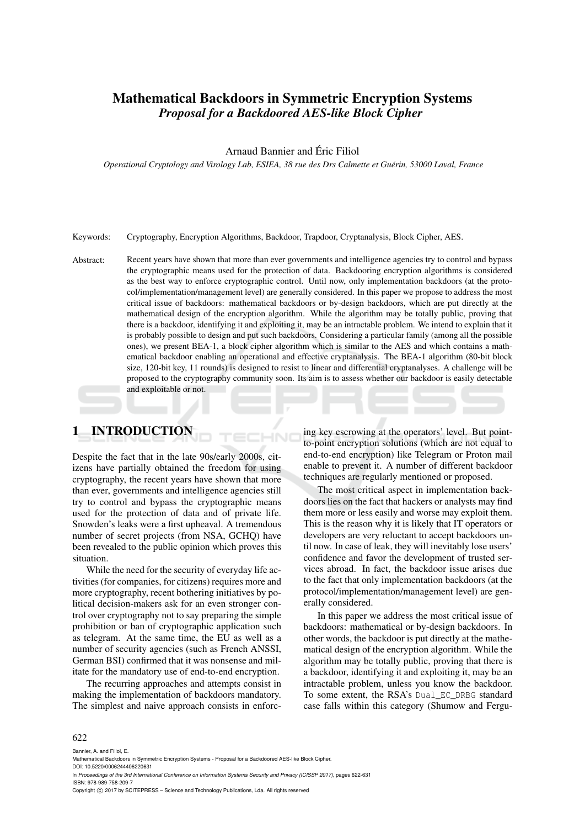# Mathematical Backdoors in Symmetric Encryption Systems *Proposal for a Backdoored AES-like Block Cipher*

## Arnaud Bannier and Éric Filiol

*Operational Cryptology and Virology Lab, ESIEA, 38 rue des Drs Calmette et Guérin, 53000 Laval, France*

#### Keywords: Cryptography, Encryption Algorithms, Backdoor, Trapdoor, Cryptanalysis, Block Cipher, AES.

Abstract: Recent years have shown that more than ever governments and intelligence agencies try to control and bypass the cryptographic means used for the protection of data. Backdooring encryption algorithms is considered as the best way to enforce cryptographic control. Until now, only implementation backdoors (at the protocol/implementation/management level) are generally considered. In this paper we propose to address the most critical issue of backdoors: mathematical backdoors or by-design backdoors, which are put directly at the mathematical design of the encryption algorithm. While the algorithm may be totally public, proving that there is a backdoor, identifying it and exploiting it, may be an intractable problem. We intend to explain that it is probably possible to design and put such backdoors. Considering a particular family (among all the possible ones), we present BEA-1, a block cipher algorithm which is similar to the AES and which contains a mathematical backdoor enabling an operational and effective cryptanalysis. The BEA-1 algorithm (80-bit block size, 120-bit key, 11 rounds) is designed to resist to linear and differential cryptanalyses. A challenge will be proposed to the cryptography community soon. Its aim is to assess whether our backdoor is easily detectable and exploitable or not.

# 1 INTRODUCTION

Despite the fact that in the late 90s/early 2000s, citizens have partially obtained the freedom for using cryptography, the recent years have shown that more than ever, governments and intelligence agencies still try to control and bypass the cryptographic means used for the protection of data and of private life. Snowden's leaks were a first upheaval. A tremendous number of secret projects (from NSA, GCHQ) have been revealed to the public opinion which proves this situation.

While the need for the security of everyday life activities (for companies, for citizens) requires more and more cryptography, recent bothering initiatives by political decision-makers ask for an even stronger control over cryptography not to say preparing the simple prohibition or ban of cryptographic application such as telegram. At the same time, the EU as well as a number of security agencies (such as French ANSSI, German BSI) confirmed that it was nonsense and militate for the mandatory use of end-to-end encryption.

The recurring approaches and attempts consist in making the implementation of backdoors mandatory. The simplest and naive approach consists in enforcing key escrowing at the operators' level. But pointto-point encryption solutions (which are not equal to end-to-end encryption) like Telegram or Proton mail enable to prevent it. A number of different backdoor techniques are regularly mentioned or proposed.

The most critical aspect in implementation backdoors lies on the fact that hackers or analysts may find them more or less easily and worse may exploit them. This is the reason why it is likely that IT operators or developers are very reluctant to accept backdoors until now. In case of leak, they will inevitably lose users' confidence and favor the development of trusted services abroad. In fact, the backdoor issue arises due to the fact that only implementation backdoors (at the protocol/implementation/management level) are generally considered.

In this paper we address the most critical issue of backdoors: mathematical or by-design backdoors. In other words, the backdoor is put directly at the mathematical design of the encryption algorithm. While the algorithm may be totally public, proving that there is a backdoor, identifying it and exploiting it, may be an intractable problem, unless you know the backdoor. To some extent, the RSA's Dual\_EC\_DRBG standard case falls within this category (Shumow and Fergu-

#### 622

Bannier, A. and Filiol, E.

- Mathematical Backdoors in Symmetric Encryption Systems Proposal for a Backdoored AES-like Block Cipher.
- DOI: 10.5220/0006244406220631 In *Proceedings of the 3rd International Conference on Information Systems Security and Privacy (ICISSP 2017)*, pages 622-631 ISBN: 978-989-758-209-7
- Copyright (C) 2017 by SCITEPRESS Science and Technology Publications, Lda. All rights reserved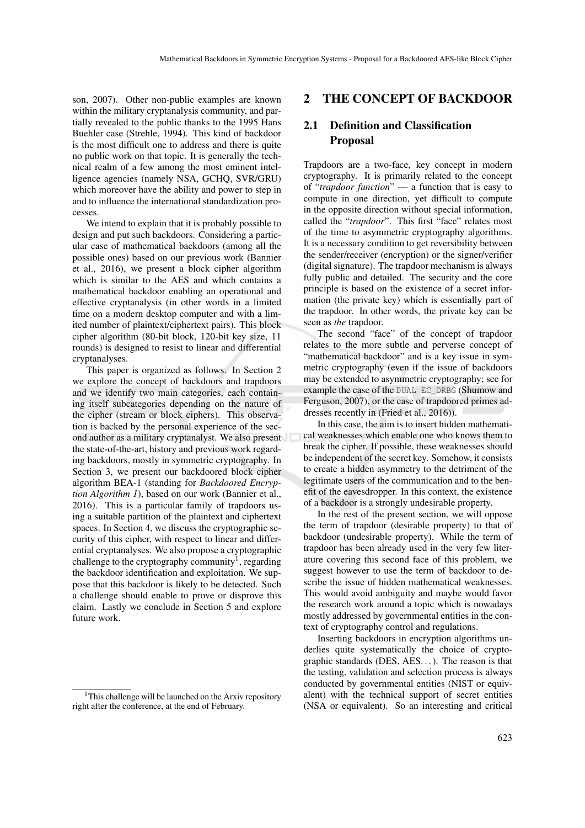son, 2007). Other non-public examples are known within the military cryptanalysis community, and partially revealed to the public thanks to the 1995 Hans Buehler case (Strehle, 1994). This kind of backdoor is the most difficult one to address and there is quite no public work on that topic. It is generally the technical realm of a few among the most eminent intelligence agencies (namely NSA, GCHQ, SVR/GRU) which moreover have the ability and power to step in and to influence the international standardization processes.

We intend to explain that it is probably possible to design and put such backdoors. Considering a particular case of mathematical backdoors (among all the possible ones) based on our previous work (Bannier et al., 2016), we present a block cipher algorithm which is similar to the AES and which contains a mathematical backdoor enabling an operational and effective cryptanalysis (in other words in a limited time on a modern desktop computer and with a limited number of plaintext/ciphertext pairs). This block cipher algorithm (80-bit block, 120-bit key size, 11 rounds) is designed to resist to linear and differential cryptanalyses.

This paper is organized as follows. In Section 2 we explore the concept of backdoors and trapdoors and we identify two main categories, each containing itself subcategories depending on the nature of the cipher (stream or block ciphers). This observation is backed by the personal experience of the second author as a military cryptanalyst. We also present the state-of-the-art, history and previous work regarding backdoors, mostly in symmetric cryptography. In Section 3, we present our backdoored block cipher algorithm BEA-1 (standing for *Backdoored Encryption Algorithm 1*), based on our work (Bannier et al., 2016). This is a particular family of trapdoors using a suitable partition of the plaintext and ciphertext spaces. In Section 4, we discuss the cryptographic security of this cipher, with respect to linear and differential cryptanalyses. We also propose a cryptographic challenge to the cryptography community<sup>1</sup>, regarding the backdoor identification and exploitation. We suppose that this backdoor is likely to be detected. Such a challenge should enable to prove or disprove this claim. Lastly we conclude in Section 5 and explore future work.

#### 2 THE CONCEPT OF BACKDOOR

### 2.1 Definition and Classification Proposal

Trapdoors are a two-face, key concept in modern cryptography. It is primarily related to the concept of "*trapdoor function*" — a function that is easy to compute in one direction, yet difficult to compute in the opposite direction without special information, called the "*trapdoor*". This first "face" relates most of the time to asymmetric cryptography algorithms. It is a necessary condition to get reversibility between the sender/receiver (encryption) or the signer/verifier (digital signature). The trapdoor mechanism is always fully public and detailed. The security and the core principle is based on the existence of a secret information (the private key) which is essentially part of the trapdoor. In other words, the private key can be seen as *the* trapdoor.

The second "face" of the concept of trapdoor relates to the more subtle and perverse concept of "mathematical backdoor" and is a key issue in symmetric cryptography (even if the issue of backdoors may be extended to asymmetric cryptography; see for example the case of the DUAL EC\_DRBG (Shumow and Ferguson, 2007), or the case of trapdoored primes addresses recently in (Fried et al., 2016)).

In this case, the aim is to insert hidden mathematical weaknesses which enable one who knows them to break the cipher. If possible, these weaknesses should be independent of the secret key. Somehow, it consists to create a hidden asymmetry to the detriment of the legitimate users of the communication and to the benefit of the eavesdropper. In this context, the existence of a backdoor is a strongly undesirable property.

In the rest of the present section, we will oppose the term of trapdoor (desirable property) to that of backdoor (undesirable property). While the term of trapdoor has been already used in the very few literature covering this second face of this problem, we suggest however to use the term of backdoor to describe the issue of hidden mathematical weaknesses. This would avoid ambiguity and maybe would favor the research work around a topic which is nowadays mostly addressed by governmental entities in the context of cryptography control and regulations.

Inserting backdoors in encryption algorithms underlies quite systematically the choice of cryptographic standards (DES, AES...). The reason is that the testing, validation and selection process is always conducted by governmental entities (NIST or equivalent) with the technical support of secret entities (NSA or equivalent). So an interesting and critical

<sup>&</sup>lt;sup>1</sup>This challenge will be launched on the Arxiv repository right after the conference, at the end of February.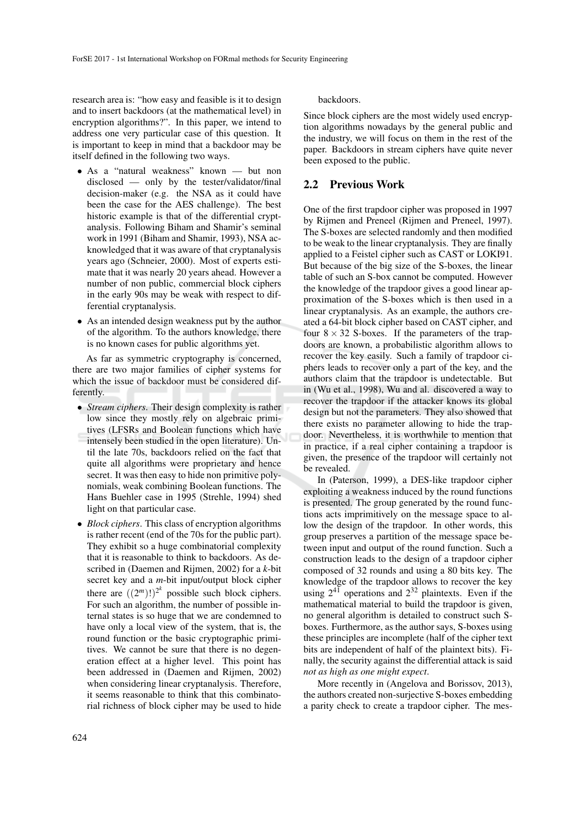research area is: "how easy and feasible is it to design and to insert backdoors (at the mathematical level) in encryption algorithms?". In this paper, we intend to address one very particular case of this question. It is important to keep in mind that a backdoor may be itself defined in the following two ways.

- As a "natural weakness" known but non disclosed — only by the tester/validator/final decision-maker (e.g. the NSA as it could have been the case for the AES challenge). The best historic example is that of the differential cryptanalysis. Following Biham and Shamir's seminal work in 1991 (Biham and Shamir, 1993), NSA acknowledged that it was aware of that cryptanalysis years ago (Schneier, 2000). Most of experts estimate that it was nearly 20 years ahead. However a number of non public, commercial block ciphers in the early 90s may be weak with respect to differential cryptanalysis.
- As an intended design weakness put by the author of the algorithm. To the authors knowledge, there is no known cases for public algorithms yet.

As far as symmetric cryptography is concerned, there are two major families of cipher systems for which the issue of backdoor must be considered differently.

- *Stream ciphers*. Their design complexity is rather low since they mostly rely on algebraic primitives (LFSRs and Boolean functions which have intensely been studied in the open literature). Until the late 70s, backdoors relied on the fact that quite all algorithms were proprietary and hence secret. It was then easy to hide non primitive polynomials, weak combining Boolean functions. The Hans Buehler case in 1995 (Strehle, 1994) shed light on that particular case.
- *Block ciphers*. This class of encryption algorithms is rather recent (end of the 70s for the public part). They exhibit so a huge combinatorial complexity that it is reasonable to think to backdoors. As described in (Daemen and Rijmen, 2002) for a *k*-bit secret key and a *m*-bit input/output block cipher there are  $((2<sup>m</sup>))^{2<sup>k</sup>}$  possible such block ciphers. For such an algorithm, the number of possible internal states is so huge that we are condemned to have only a local view of the system, that is, the round function or the basic cryptographic primitives. We cannot be sure that there is no degeneration effect at a higher level. This point has been addressed in (Daemen and Rijmen, 2002) when considering linear cryptanalysis. Therefore, it seems reasonable to think that this combinatorial richness of block cipher may be used to hide

backdoors.

Since block ciphers are the most widely used encryption algorithms nowadays by the general public and the industry, we will focus on them in the rest of the paper. Backdoors in stream ciphers have quite never been exposed to the public.

#### 2.2 Previous Work

One of the first trapdoor cipher was proposed in 1997 by Rijmen and Preneel (Rijmen and Preneel, 1997). The S-boxes are selected randomly and then modified to be weak to the linear cryptanalysis. They are finally applied to a Feistel cipher such as CAST or LOKI91. But because of the big size of the S-boxes, the linear table of such an S-box cannot be computed. However the knowledge of the trapdoor gives a good linear approximation of the S-boxes which is then used in a linear cryptanalysis. As an example, the authors created a 64-bit block cipher based on CAST cipher, and four  $8 \times 32$  S-boxes. If the parameters of the trapdoors are known, a probabilistic algorithm allows to recover the key easily. Such a family of trapdoor ciphers leads to recover only a part of the key, and the authors claim that the trapdoor is undetectable. But in (Wu et al., 1998), Wu and al. discovered a way to recover the trapdoor if the attacker knows its global design but not the parameters. They also showed that there exists no parameter allowing to hide the trapdoor. Nevertheless, it is worthwhile to mention that in practice, if a real cipher containing a trapdoor is given, the presence of the trapdoor will certainly not be revealed.

In (Paterson, 1999), a DES-like trapdoor cipher exploiting a weakness induced by the round functions is presented. The group generated by the round functions acts imprimitively on the message space to allow the design of the trapdoor. In other words, this group preserves a partition of the message space between input and output of the round function. Such a construction leads to the design of a trapdoor cipher composed of 32 rounds and using a 80 bits key. The knowledge of the trapdoor allows to recover the key using  $2^{4\bar{1}}$  operations and  $2^{32}$  plaintexts. Even if the mathematical material to build the trapdoor is given, no general algorithm is detailed to construct such Sboxes. Furthermore, as the author says, S-boxes using these principles are incomplete (half of the cipher text bits are independent of half of the plaintext bits). Finally, the security against the differential attack is said *not as high as one might expect*.

More recently in (Angelova and Borissov, 2013), the authors created non-surjective S-boxes embedding a parity check to create a trapdoor cipher. The mes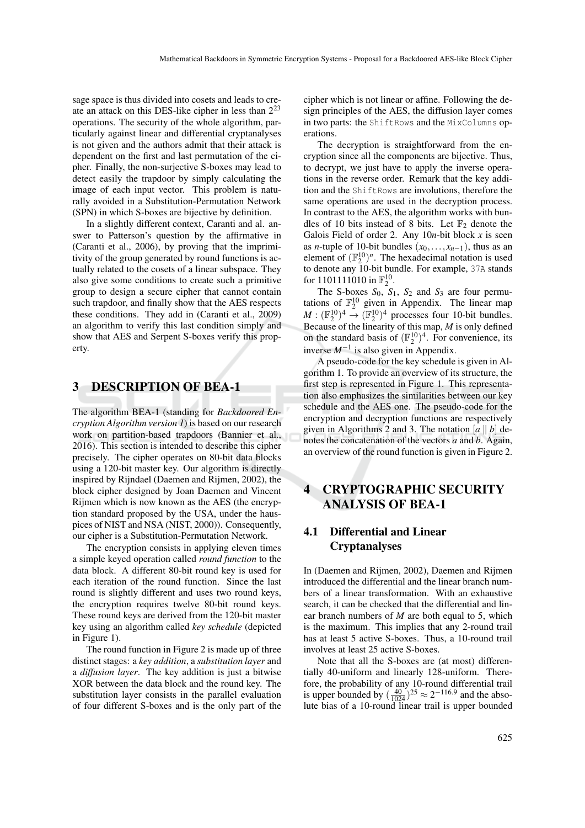sage space is thus divided into cosets and leads to create an attack on this DES-like cipher in less than 2<sup>23</sup> operations. The security of the whole algorithm, particularly against linear and differential cryptanalyses is not given and the authors admit that their attack is dependent on the first and last permutation of the cipher. Finally, the non-surjective S-boxes may lead to detect easily the trapdoor by simply calculating the image of each input vector. This problem is naturally avoided in a Substitution-Permutation Network (SPN) in which S-boxes are bijective by definition.

In a slightly different context, Caranti and al. answer to Patterson's question by the affirmative in (Caranti et al., 2006), by proving that the imprimitivity of the group generated by round functions is actually related to the cosets of a linear subspace. They also give some conditions to create such a primitive group to design a secure cipher that cannot contain such trapdoor, and finally show that the AES respects these conditions. They add in (Caranti et al., 2009) an algorithm to verify this last condition simply and show that AES and Serpent S-boxes verify this property.

### 3 DESCRIPTION OF BEA-1

The algorithm BEA-1 (standing for *Backdoored Encryption Algorithm version 1*) is based on our research work on partition-based trapdoors (Bannier et al., 2016). This section is intended to describe this cipher precisely. The cipher operates on 80-bit data blocks using a 120-bit master key. Our algorithm is directly inspired by Rijndael (Daemen and Rijmen, 2002), the block cipher designed by Joan Daemen and Vincent Rijmen which is now known as the AES (the encryption standard proposed by the USA, under the hauspices of NIST and NSA (NIST, 2000)). Consequently, our cipher is a Substitution-Permutation Network.

The encryption consists in applying eleven times a simple keyed operation called *round function* to the data block. A different 80-bit round key is used for each iteration of the round function. Since the last round is slightly different and uses two round keys, the encryption requires twelve 80-bit round keys. These round keys are derived from the 120-bit master key using an algorithm called *key schedule* (depicted in Figure 1).

The round function in Figure 2 is made up of three distinct stages: a *key addition*, a *substitution layer* and a *diffusion layer*. The key addition is just a bitwise XOR between the data block and the round key. The substitution layer consists in the parallel evaluation of four different S-boxes and is the only part of the cipher which is not linear or affine. Following the design principles of the AES, the diffusion layer comes in two parts: the ShiftRows and the MixColumns operations.

The decryption is straightforward from the encryption since all the components are bijective. Thus, to decrypt, we just have to apply the inverse operations in the reverse order. Remark that the key addition and the ShiftRows are involutions, therefore the same operations are used in the decryption process. In contrast to the AES, the algorithm works with bundles of 10 bits instead of 8 bits. Let  $\mathbb{F}_2$  denote the Galois Field of order 2. Any 10*n*-bit block *x* is seen as *n*-tuple of 10-bit bundles  $(x_0, \ldots, x_{n-1})$ , thus as an element of  $(\mathbb{F}_2^{10})^n$ . The hexadecimal notation is used to denote any 10-bit bundle. For example, 37A stands for 1101111010 in  $\mathbb{F}_2^{10}$ .

The S-boxes  $S_0$ ,  $S_1$ ,  $S_2$  and  $S_3$  are four permutations of  $\mathbb{F}_2^{10}$  given in Appendix. The linear map  $M : (\mathbb{F}_2^{10})^4 \to (\mathbb{F}_2^{10})^4$  processes four 10-bit bundles. Because of the linearity of this map, *M* is only defined on the standard basis of  $(\mathbb{F}_2^{10})^4$ . For convenience, its inverse *M*−<sup>1</sup> is also given in Appendix.

A pseudo-code for the key schedule is given in Algorithm 1. To provide an overview of its structure, the first step is represented in Figure 1. This representation also emphasizes the similarities between our key schedule and the AES one. The pseudo-code for the encryption and decryption functions are respectively given in Algorithms 2 and 3. The notation  $\begin{bmatrix} a \ \end{bmatrix}$  *b* $\begin{bmatrix} b \end{bmatrix}$  denotes the concatenation of the vectors *a* and *b*. Again, an overview of the round function is given in Figure 2.

# 4 CRYPTOGRAPHIC SECURITY ANALYSIS OF BEA-1

# 4.1 Differential and Linear Cryptanalyses

In (Daemen and Rijmen, 2002), Daemen and Rijmen introduced the differential and the linear branch numbers of a linear transformation. With an exhaustive search, it can be checked that the differential and linear branch numbers of *M* are both equal to 5, which is the maximum. This implies that any 2-round trail has at least 5 active S-boxes. Thus, a 10-round trail involves at least 25 active S-boxes.

Note that all the S-boxes are (at most) differentially 40-uniform and linearly 128-uniform. Therefore, the probability of any 10-round differential trail is upper bounded by  $\left(\frac{40}{1024}\right)^{25} \approx 2^{-116.9}$  and the absolute bias of a 10-round linear trail is upper bounded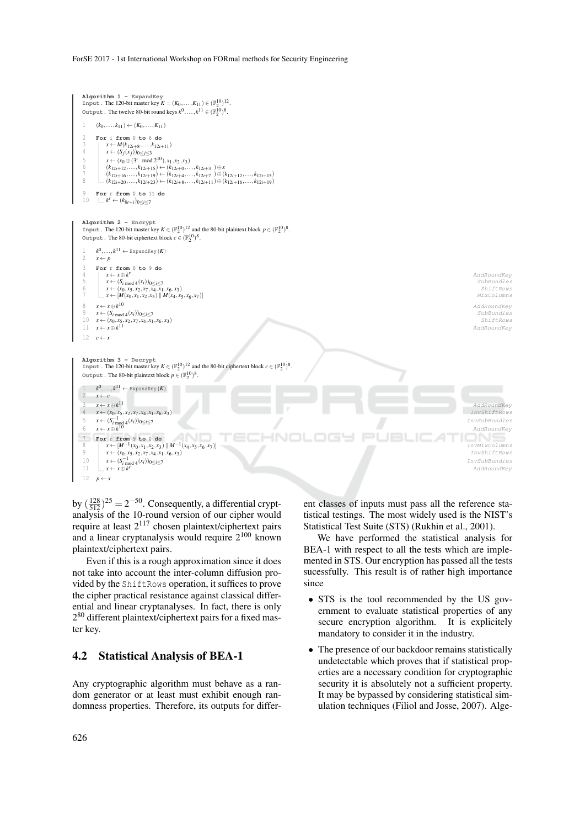

by  $\left(\frac{128}{512}\right)^{25} = 2^{-50}$ . Consequently, a differential cryptanalysis of the 10-round version of our cipher would require at least 2<sup>117</sup> chosen plaintext/ciphertext pairs and a linear cryptanalysis would require  $2^{100}$  known plaintext/ciphertext pairs.

Even if this is a rough approximation since it does not take into account the inter-column diffusion provided by the ShiftRows operation, it suffices to prove the cipher practical resistance against classical differential and linear cryptanalyses. In fact, there is only 2<sup>80</sup> different plaintext/ciphertext pairs for a fixed master key.

#### 4.2 Statistical Analysis of BEA-1

Any cryptographic algorithm must behave as a random generator or at least must exhibit enough randomness properties. Therefore, its outputs for different classes of inputs must pass all the reference statistical testings. The most widely used is the NIST's Statistical Test Suite (STS) (Rukhin et al., 2001).

We have performed the statistical analysis for BEA-1 with respect to all the tests which are implemented in STS. Our encryption has passed all the tests sucessfully. This result is of rather high importance since

- STS is the tool recommended by the US government to evaluate statistical properties of any secure encryption algorithm. It is explicitely mandatory to consider it in the industry.
- The presence of our backdoor remains statistically undetectable which proves that if statistical properties are a necessary condition for cryptographic security it is absolutely not a sufficient property. It may be bypassed by considering statistical simulation techniques (Filiol and Josse, 2007). Alge-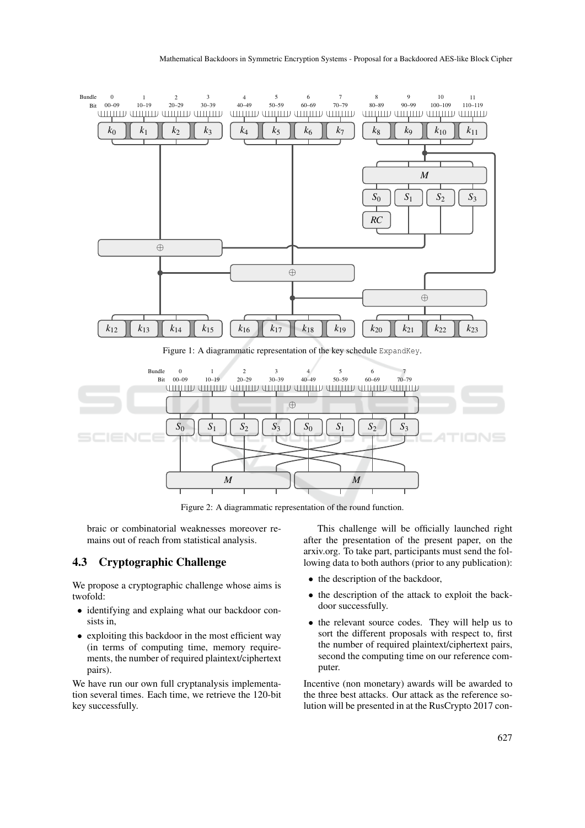

Figure 1: A diagrammatic representation of the key schedule ExpandKey.



Figure 2: A diagrammatic representation of the round function.

braic or combinatorial weaknesses moreover remains out of reach from statistical analysis.

#### 4.3 Cryptographic Challenge

We propose a cryptographic challenge whose aims is twofold:

- identifying and explaing what our backdoor consists in,
- exploiting this backdoor in the most efficient way (in terms of computing time, memory requirements, the number of required plaintext/ciphertext pairs).

We have run our own full cryptanalysis implementation several times. Each time, we retrieve the 120-bit key successfully.

This challenge will be officially launched right after the presentation of the present paper, on the arxiv.org. To take part, participants must send the following data to both authors (prior to any publication):

- the description of the backdoor,
- the description of the attack to exploit the backdoor successfully.
- the relevant source codes. They will help us to sort the different proposals with respect to, first the number of required plaintext/ciphertext pairs, second the computing time on our reference computer.

Incentive (non monetary) awards will be awarded to the three best attacks. Our attack as the reference solution will be presented in at the RusCrypto 2017 con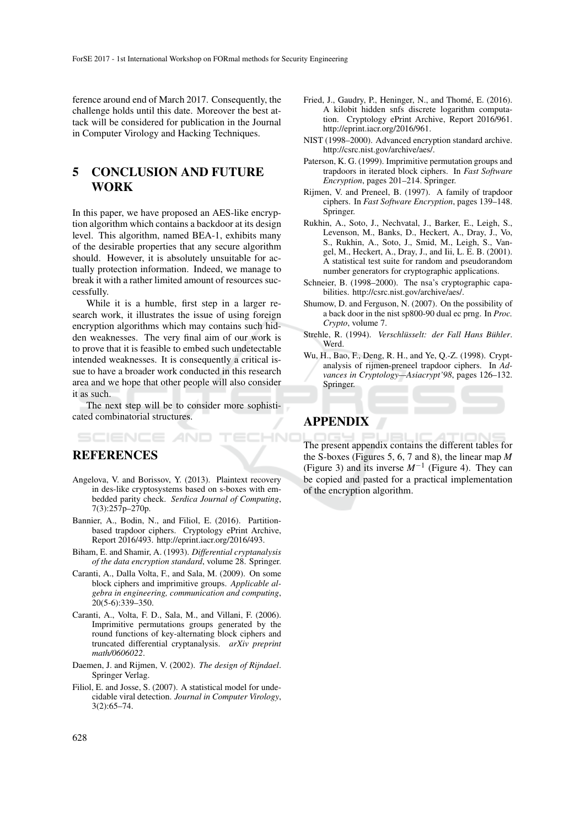ference around end of March 2017. Consequently, the challenge holds until this date. Moreover the best attack will be considered for publication in the Journal in Computer Virology and Hacking Techniques.

# 5 CONCLUSION AND FUTURE WORK

In this paper, we have proposed an AES-like encryption algorithm which contains a backdoor at its design level. This algorithm, named BEA-1, exhibits many of the desirable properties that any secure algorithm should. However, it is absolutely unsuitable for actually protection information. Indeed, we manage to break it with a rather limited amount of resources successfully.

While it is a humble, first step in a larger research work, it illustrates the issue of using foreign encryption algorithms which may contains such hidden weaknesses. The very final aim of our work is to prove that it is feasible to embed such undetectable intended weaknesses. It is consequently a critical issue to have a broader work conducted in this research area and we hope that other people will also consider it as such.

The next step will be to consider more sophisticated combinatorial structures.

### **REFERENCES**

- Angelova, V. and Borissov, Y. (2013). Plaintext recovery in des-like cryptosystems based on s-boxes with embedded parity check. *Serdica Journal of Computing*, 7(3):257p–270p.
- Bannier, A., Bodin, N., and Filiol, E. (2016). Partitionbased trapdoor ciphers. Cryptology ePrint Archive, Report 2016/493. http://eprint.iacr.org/2016/493.
- Biham, E. and Shamir, A. (1993). *Differential cryptanalysis of the data encryption standard*, volume 28. Springer.
- Caranti, A., Dalla Volta, F., and Sala, M. (2009). On some block ciphers and imprimitive groups. *Applicable algebra in engineering, communication and computing*, 20(5-6):339–350.
- Caranti, A., Volta, F. D., Sala, M., and Villani, F. (2006). Imprimitive permutations groups generated by the round functions of key-alternating block ciphers and truncated differential cryptanalysis. *arXiv preprint math/0606022*.
- Daemen, J. and Rijmen, V. (2002). *The design of Rijndael*. Springer Verlag.
- Filiol, E. and Josse, S. (2007). A statistical model for undecidable viral detection. *Journal in Computer Virology*, 3(2):65–74.
- Fried, J., Gaudry, P., Heninger, N., and Thomé, E. (2016). A kilobit hidden snfs discrete logarithm computation. Cryptology ePrint Archive, Report 2016/961. http://eprint.iacr.org/2016/961.
- NIST (1998–2000). Advanced encryption standard archive. http://csrc.nist.gov/archive/aes/.
- Paterson, K. G. (1999). Imprimitive permutation groups and trapdoors in iterated block ciphers. In *Fast Software Encryption*, pages 201–214. Springer.
- Rijmen, V. and Preneel, B. (1997). A family of trapdoor ciphers. In *Fast Software Encryption*, pages 139–148. Springer.
- Rukhin, A., Soto, J., Nechvatal, J., Barker, E., Leigh, S., Levenson, M., Banks, D., Heckert, A., Dray, J., Vo, S., Rukhin, A., Soto, J., Smid, M., Leigh, S., Vangel, M., Heckert, A., Dray, J., and Iii, L. E. B. (2001). A statistical test suite for random and pseudorandom number generators for cryptographic applications.
- Schneier, B. (1998–2000). The nsa's cryptographic capabilities. http://csrc.nist.gov/archive/aes/.
- Shumow, D. and Ferguson, N. (2007). On the possibility of a back door in the nist sp800-90 dual ec prng. In *Proc. Crypto*, volume 7.
- Strehle, R. (1994). *Verschlüsselt: der Fall Hans Bühler*. Werd.
- Wu, H., Bao, F., Deng, R. H., and Ye, Q.-Z. (1998). Cryptanalysis of rijmen-preneel trapdoor ciphers. In *Advances in Cryptology—Asiacrypt'98*, pages 126–132. Springer.

# APPENDIX

HNC

The present appendix contains the different tables for the S-boxes (Figures 5, 6, 7 and 8), the linear map *M* (Figure 3) and its inverse  $M^{-1}$  (Figure 4). They can be copied and pasted for a practical implementation of the encryption algorithm.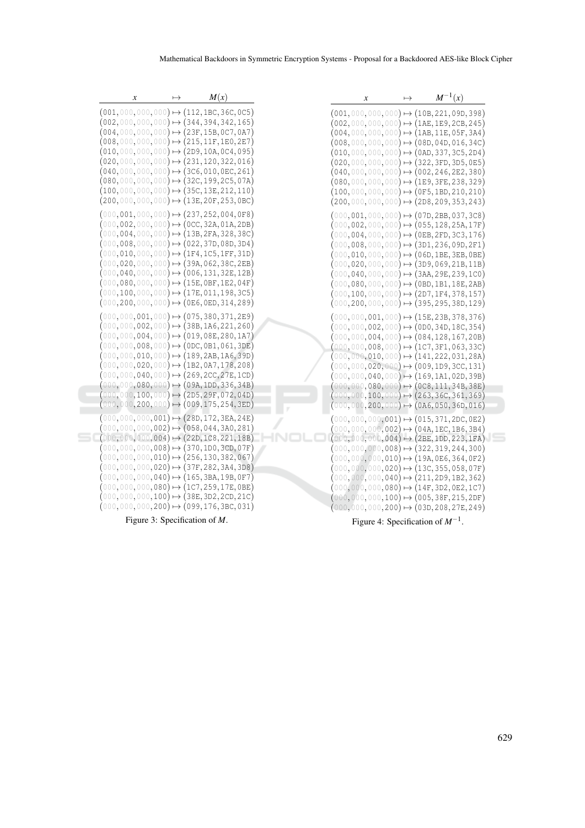| $\boldsymbol{x}$                                                                                           | $\mapsto$ | M(x)                                                | $\boldsymbol{x}$ | $\mapsto$ | $M^{-1}(x)$                                                                                                                           |  |
|------------------------------------------------------------------------------------------------------------|-----------|-----------------------------------------------------|------------------|-----------|---------------------------------------------------------------------------------------------------------------------------------------|--|
| $(001, 000, 000, 000) \mapsto (112, 1BC, 36C, 0C5)$                                                        |           | $(002, 000, 000, 000) \mapsto (344, 394, 342, 165)$ |                  |           | $(001, 000, 000, 000) \mapsto (10B, 221, 09D, 398)$<br>$(002, 000, 000, 000) \mapsto (1$ AE,1E9,2CB,245)                              |  |
|                                                                                                            |           | $(004,000,000,000) \mapsto (23F,15B,0C7,0A7)$       |                  |           | $(004, 000, 000, 000) \mapsto (1AB, 11E, 05F, 3A4)$                                                                                   |  |
|                                                                                                            |           | $(008,000,000,000) \mapsto (215,11F,1E0,2E7)$       |                  |           | $(008,000,000,000) \mapsto (08D,04D,016,34C)$                                                                                         |  |
|                                                                                                            |           | $(010, 000, 000, 000) \mapsto (2D9, 10A, 0C4, 095)$ |                  |           | $(010, 000, 000, 000) \mapsto (0$ AD,337,3C5,2D4)                                                                                     |  |
|                                                                                                            |           | $(020, 000, 000, 000) \mapsto (231, 120, 322, 016)$ |                  |           | $(020, 000, 000, 000) \mapsto (322, 3FD, 3D5, 0E5)$                                                                                   |  |
|                                                                                                            |           | $(040, 000, 000, 000) \mapsto (3C6, 010, 0EC, 261)$ |                  |           | $(040,000,000,000) \mapsto (002,246,2E2,380)$                                                                                         |  |
| $(080,000,000,000) \mapsto (32C,199,2C5,07A)$                                                              |           |                                                     |                  |           | $(080,000,000,000) \mapsto (1E9, 3FE, 238, 329)$                                                                                      |  |
| $(100, 000, 000, 000) \mapsto (35C, 13E, 212, 110)$                                                        |           |                                                     |                  |           | $(100, 000, 000, 000) \mapsto (0F5, 1BD, 210, 210)$                                                                                   |  |
| $(200, 000, 000, 000) \mapsto (13E, 20F, 253, 0BC)$                                                        |           |                                                     |                  |           | $(200, 000, 000, 000) \mapsto (2D8, 209, 353, 243)$                                                                                   |  |
| $(000, 001, 000, 000) \mapsto (237, 252, 004, 0F8)$                                                        |           |                                                     |                  |           | $(000, 001, 000, 000) \mapsto (07D, 2BB, 037, 3C8)$                                                                                   |  |
| $(000, 002, 000, 000) \mapsto (0CC, 32A, 01A, 2DB)$                                                        |           |                                                     |                  |           | $(000, 002, 000, 000) \mapsto (055, 128, 25A, 17F)$                                                                                   |  |
| $(000, 008, 000, 000) \mapsto (022, 37D, 08D, 3D4)$                                                        |           | $(000, 004, 000, 000) \mapsto (13B, 2FA, 328, 38C)$ |                  |           | $(000, 004, 000, 000) \mapsto (0EB, 2FD, 3C3, 176)$                                                                                   |  |
|                                                                                                            |           | $(000, 010, 000, 000) \mapsto (1F4, 1C5, 1FF, 31D)$ |                  |           | $(000, 008, 000, 000) \mapsto (3\texttt{D1}, 236, 09\texttt{D}, 2\texttt{F1})$<br>$(000, 010, 000, 000) \mapsto (06D, 1BE, 3EB, 0BE)$ |  |
| $(000, 020, 000, 000) \mapsto (39A, 062, 38C, 2EB)$                                                        |           |                                                     |                  |           | $(000, 020, 000, 000) \mapsto (3D9, 069, 21B, 11B)$                                                                                   |  |
| $(000, 040, 000, 000) \mapsto (006, 131, 32E, 12B)$                                                        |           |                                                     |                  |           | $(000, 040, 000, 000) \mapsto (3AA, 29E, 239, 100)$                                                                                   |  |
| $(000, 080, 000, 000) \mapsto (15E, 0BF, 1E2, 04F)$                                                        |           |                                                     |                  |           | $(000, 080, 000, 000) \mapsto (0BD, 1B1, 18E, 2AB)$                                                                                   |  |
| $(000, 100, 000, 000) \mapsto (17E, 011, 198, 3C5)$                                                        |           |                                                     |                  |           | $(000, 100, 000, 000) \mapsto (2D7, 1F4, 378, 157)$                                                                                   |  |
| $(000, 200, 000, 000) \mapsto (0E6, 0ED, 314, 289)$                                                        |           |                                                     |                  |           | $(000, 200, 000, 000) \mapsto (395, 295, 38D, 129)$                                                                                   |  |
| $(000, 000, 001, 000) \mapsto (075, 380, 371, 2E9)$                                                        |           |                                                     |                  |           | $(000, 000, 001, 000) \mapsto (15E, 23B, 378, 376)$                                                                                   |  |
| $(000, 000, 002, 000) \mapsto (38B, 1A6, 221, 260)$                                                        |           |                                                     |                  |           | $(000, 000, 002, 000) \mapsto (0D0, 34D, 18C, 354)$                                                                                   |  |
| $(000, 000, 004, 000) \mapsto (019, 08E, 280, 1A7)$                                                        |           |                                                     |                  |           | $(000, 000, 004, 000) \mapsto (084, 128, 167, 20B)$                                                                                   |  |
| $(000, 000, 008, 000) \mapsto (0DC, 0B1, 061, 3DE)$                                                        |           |                                                     |                  |           | $(000, 000, 008, 000) \mapsto (107, 3F1, 063, 33C)$                                                                                   |  |
| $(000, 000, 010, 000) \mapsto (189, 2AB, 1A6, 39D)$                                                        |           |                                                     |                  |           | $(000, 000, 010, 000) \mapsto (141, 222, 031, 28A)$                                                                                   |  |
| $(000, 000, 020, 000) \mapsto (1B2, 0A7, 178, 208)$<br>$(000, 000, 040, 000) \mapsto (269, 2CC, 27E, 1CD)$ |           |                                                     |                  |           | $(000, 000, 020, 000) \mapsto (009, 1D9, 3CC, 131)$                                                                                   |  |
| $(000, 000, 080, 000) \mapsto (09A, 1DD, 336, 34B)$                                                        |           |                                                     |                  |           | $(000, 000, 040, 000) \mapsto (169, 1A1, 02D, 39B)$<br>$(000, 000, 080, 000) \mapsto (0C8, 111, 34B, 38E)$                            |  |
| $(000, 000, 100, 000) \mapsto (2D5, 29F, 072, 04D)$                                                        |           |                                                     |                  |           | $(000, 000, 100, 000) \mapsto (263, 36C, 361, 369)$                                                                                   |  |
| $(000, 000, 200, 000) \mapsto (009, 175, 254, 3ED)$                                                        |           |                                                     |                  |           | $(000, 000, 200, 000) \mapsto (0A6, 050, 36D, 016)$                                                                                   |  |
| $(000, 000, 000, 001) \mapsto (28D, 172, 3EA, 24E)$                                                        |           |                                                     |                  |           | $(000, 000, 000, 001) \mapsto (015, 371, 2DC, 0E2)$                                                                                   |  |
| $(000, 000, 000, 002) \mapsto (058, 044, 3A0, 281)$                                                        |           |                                                     |                  |           | $(000, 000, 000, 002) \mapsto (04 \text{A}, 1 \text{EC}, 1 \text{B6}, 3 \text{B4})$                                                   |  |
| $(000, 000, 000, 004) \mapsto (22D, 1C8, 221, 18B)$                                                        |           |                                                     |                  |           | $(000, 000, 000, 004) \mapsto (2BE, 1DD, 223, 1FA)$                                                                                   |  |
| $(000, 000, 000, 008) \mapsto (370, 1D0, 3CD, 07F)$                                                        |           |                                                     |                  |           | $(000, 000, 000, 008) \mapsto (322, 319, 244, 300)$                                                                                   |  |
| $(000, 000, 000, 010) \mapsto (256, 130, 382, 067)$                                                        |           |                                                     |                  |           | $(000, 000, 000, 010) \mapsto (19 \text{A}, 0 \text{E6}, 364, 0 \text{F2})$                                                           |  |
| $(000, 000, 000, 020) \mapsto (37F, 282, 3A4, 3D8)$<br>$(000, 000, 000, 040) \mapsto (165, 3BA, 19B, 0F7)$ |           |                                                     |                  |           | $(000, 000, 000, 020) \mapsto (13 \texttt{C}, 355, 058, 07 \texttt{F})$                                                               |  |
| $(000, 000, 000, 080) \mapsto (1C7, 259, 17E, 0BE)$                                                        |           |                                                     |                  |           | $(000, 000, 000, 040) \mapsto (211, 2D9, 1B2, 362)$<br>$(000, 000, 000, 080) \mapsto (14F, 3D2, 0E2, 1C7)$                            |  |
| $(000, 000, 000, 100) \mapsto (38E, 3D2, 2CD, 21C)$                                                        |           |                                                     |                  |           | $(000, 000, 000, 100) \mapsto (005, 38F, 215, 2DF)$                                                                                   |  |
| $(000, 000, 000, 200) \mapsto (099, 176, 3BC, 031)$                                                        |           |                                                     |                  |           | $(000, 000, 000, 200) \mapsto (03D, 208, 27E, 249)$                                                                                   |  |
|                                                                                                            |           |                                                     |                  |           |                                                                                                                                       |  |

Figure 3: Specification of *M*.

Figure 4: Specification of *M*−<sup>1</sup> .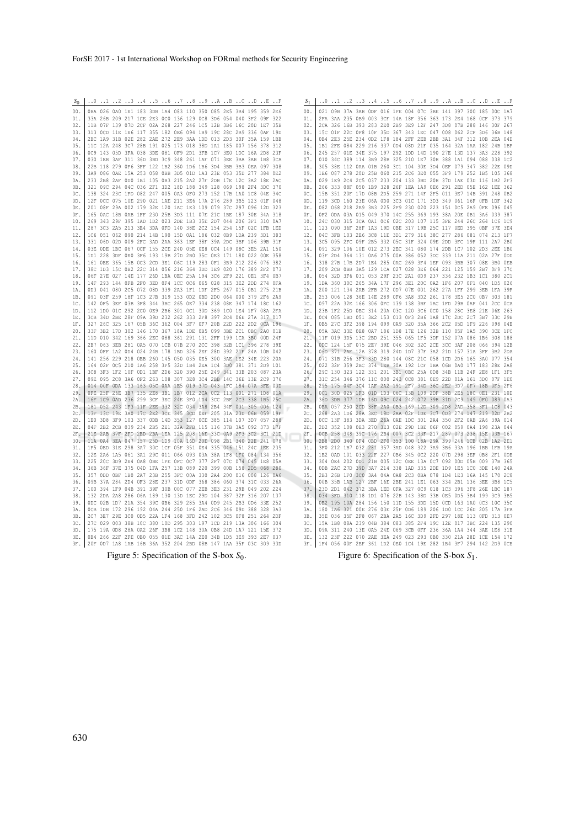| $S_0$      |  |  |  | 0 1 2 3 4 5 6 7 8 9 A B C D E F                                                                                                    |  |  |  |  | $\mathbf{S}_1$ |  |  |  |  |  | 0 1 2 3 4 5 6 7 8 9 A B C D E F                                                                                                    |  |  |  |
|------------|--|--|--|------------------------------------------------------------------------------------------------------------------------------------|--|--|--|--|----------------|--|--|--|--|--|------------------------------------------------------------------------------------------------------------------------------------|--|--|--|
| 00.        |  |  |  | 0BA 026 0A0 1E1 183 3DB 1A4 083 110 350 085 2E5 3B4 195 359 2E6                                                                    |  |  |  |  | 00.            |  |  |  |  |  | 021 09B 37A 3AB ODF 016 1FE 004 07C 3BE 141 397 300 185 00C 1A7                                                                    |  |  |  |
| 01.        |  |  |  | 33A 26B 209 217 1CE 2E3 0C0 136 129 0C8 3D6 054 040 3F2 09F 322                                                                    |  |  |  |  | 01.            |  |  |  |  |  | 2FA 3AA 235 0B9 003 3CF 14A 18F 356 363 173 2E4 168 OCF 373 379                                                                    |  |  |  |
| 02.        |  |  |  | 11B 07F 139 07D 2CF 02A 268 227 246 1C5 12B 3B6 16C 20D 1E7 35B                                                                    |  |  |  |  | 02.            |  |  |  |  |  | 2CA 326 16B 393 283 2E0 2B9 3E9 12F 247 3D8 07B 288 146 30F 267                                                                    |  |  |  |
| 03.        |  |  |  | 313 OCD 11E 1E6 117 355 182 OE6 094 1B9 19C 28C 2B9 336 OAF 19D                                                                    |  |  |  |  | 0.3.           |  |  |  |  |  | 15C 01F 22C 0F8 10F 35D 367 343 1EC 047 008 062 2CF 3D6 36B 148                                                                    |  |  |  |
| 04.        |  |  |  | 2BC 1A9 31B 02E 282 2AE 272 2E9 3AA 1DD 013 2D3 30F 35A 159 1BB                                                                    |  |  |  |  | 04.            |  |  |  |  |  | 0B4 2E3 25E 234 0D2 1F8 184 2FF 2EB 2BB 3A1 34F 312 10B 2EA 04D                                                                    |  |  |  |
| 0.5.       |  |  |  | 11C 12A 248 3C7 28B 191 025 173 018 38D 1A1 185 007 156 378 312                                                                    |  |  |  |  | 0.5.           |  |  |  |  |  | 1B1 2FE 084 229 216 337 0D4 08D 21F 035 164 32A 1AA 182 24B 1BF                                                                    |  |  |  |
| 06.        |  |  |  | OC9 143 O5D 3FA 038 3DE 081 OF9 2D1 3FB 1C7 3E0 1DC 16A 2D8 23F                                                                    |  |  |  |  | 06.            |  |  |  |  |  | 245 257 01E 34E 375 197 292 1DD 14D 190 27E 13D 137 3A3 228 392                                                                    |  |  |  |
| 07.        |  |  |  | 030 1EB 3AF 311 36D 3BD 3C9 348 261 1AF 071 3EE 3BA 3AB 1B8 3CA<br>22B 118 279 0F6 3FF 122 1B2 360 1D6 1B6 3D4 3BB 3B3 0EA 097 308 |  |  |  |  | 07.            |  |  |  |  |  | 010 34C 389 114 3B9 28B 325 210 1E7 30B 388 1A1 094 088 038 1C2<br>305 38E 112 0AA 01B 260 3C1 104 30E 3D4 0EF 079 347 382 22E 09D |  |  |  |
| 08.<br>09. |  |  |  | 3A9 086 0AE 15A 253 058 0BB 3D5 01D 1A3 23E 053 35D 277 384 0E2                                                                    |  |  |  |  | 08.<br>09.     |  |  |  |  |  | 1E6 087 278 20D 25B 060 215 2C6 3E0 055 3F9 179 252 1B5 105 368                                                                    |  |  |  |
| 0A.        |  |  |  | 233 2B8 2AF 0D0 1B1 105 0B3 215 2A2 27F 2DB 17E 12C 3A2 18E 2AC                                                                    |  |  |  |  | OA.            |  |  |  |  |  | 029 1E9 2C4 2C5 037 233 204 133 3BD 20B 37D 1AE 03D 116 1B2 2F3                                                                    |  |  |  |
| OB.        |  |  |  | 321 09C 294 04C 036 2F1 3D2 18D 188 349 128 069 198 2F4 3DC 370                                                                    |  |  |  |  | OB.            |  |  |  |  |  | 266 333 08F 050 1B9 328 26F 1EA 1A9 0E6 291 2ED 05E 162 1EE 362                                                                    |  |  |  |
| OC.        |  |  |  | 138 324 23C 1FD 082 247 005 0A3 0F0 273 152 17B 1A0 1C8 04E 34C                                                                    |  |  |  |  | OC.            |  |  |  |  |  | 15B 351 20F 17D 08B 2D5 259 271 14F 2F5 011 3E7 14B 391 248 0B2                                                                    |  |  |  |
| OD.        |  |  |  | 12F OCC 075 10E 290 021 1AE 211 3E6 17A 276 289 3B5 123 01F 048                                                                    |  |  |  |  | OD.            |  |  |  |  |  | 119 3CD 160 23E 06A 0D0 3C3 01C 171 3D3 349 061 16F 0FB 1DF 342                                                                    |  |  |  |
| 0Е         |  |  |  | 201 08F 29A 002 179 32E 120 1AC 1E3 109 079 37C 297 096 12D 323                                                                    |  |  |  |  | OE.            |  |  |  |  |  | 082 068 218 2E9 3B3 225 2F9 230 020 223 151 0C5 2A9 OFE 096 045                                                                    |  |  |  |
| OF.        |  |  |  | 165 OAC 18B OAB 1FF 230 25B 3D3 111 07E 21C 1BE 187 30E 34A 318                                                                    |  |  |  |  | OF.            |  |  |  |  |  | OF2 ODA 03A 015 049 370 14C 255 369 193 38A 20E OB1 3A6 039 387                                                                    |  |  |  |
| 10.        |  |  |  | 269 343 29F 395 1AD 1D2 023 2DE 1B3 35E 2D7 044 206 3F1 310 0A7                                                                    |  |  |  |  | 10.            |  |  |  |  |  | 24C 030 315 3CA 0A1 0C6 02C 203 107 115 3FE 244 26C 264 1C6 1C9                                                                    |  |  |  |
| 11.        |  |  |  | 287 3C3 2A5 213 3E4 3DA OFD 140 38E 2C2 154 254 15F 02C 1FB 1ED                                                                    |  |  |  |  | 11.            |  |  |  |  |  | 123 090 36F 28F 1A3 19D 0BE 317 19B 25C 117 0ED 395 0BF 37E 3E4                                                                    |  |  |  |
| 12.        |  |  |  | 1C6 051 062 090 214 14B 190 15D 0A1 186 032 0B9 1DA 239 3D1 383                                                                    |  |  |  |  | 12.            |  |  |  |  |  | 04C 3FB 103 2E6 3C8 11E 3D1 279 316 38C 277 286 081 074 213 1F7                                                                    |  |  |  |
| 13.        |  |  |  | 331 06D 02D 009 2FC 3AD 2AA 363 1EF 38F 39A 2DC 3BF 106 39B 31F                                                                    |  |  |  |  | 13.            |  |  |  |  |  | 3C5 095 2FC 09F 2B5 332 05C 31F 324 09E 2DD 3FC 19F 111 2A7 2B0                                                                    |  |  |  |
| 14.<br>15  |  |  |  | 03E ODE 1BC 067 OCF 155 2CE 240 05E 0E8 0C4 149 08C 3E5 2A1 150                                                                    |  |  |  |  | 14.            |  |  |  |  |  | 091 329 106 10E 012 273 2EC 341 080 174 2DB 1C7 102 2D3 2EE 1B0                                                                    |  |  |  |
| 16.        |  |  |  | 1D1 228 3DF 0E0 3F6 193 19B 27D 2B0 35C 0E3 171 180 022 00E 358<br>161 OEE 365 15B OC3 2CD 3E1 06C 119 283 OF1 3B9 212 226 076 382 |  |  |  |  | 15.<br>16.     |  |  |  |  |  | 03F 2D4 364 131 0A6 275 00A 386 052 3DC 339 11A 211 02A 27F ODD<br>318 27B 17B 2D7 1E4 285 0AC 269 3F4 1EF 093 3BB 307 08E 3B0 0EB |  |  |  |
| 17.        |  |  |  | 38C 1D3 15C 0B2 22C 314 056 216 364 3DD 1E9 020 176 389 2F2 073                                                                    |  |  |  |  | 17.            |  |  |  |  |  | 209 2CB OBB 3A5 129 1CA 027 028 3E6 064 221 125 159 2B7 0F9 37C                                                                    |  |  |  |
| 18.        |  |  |  | 06F 27E 027 14E 177 26D 1BA 0EC 25A 194 3C6 2F9 221 0E1 3F4 0B7                                                                    |  |  |  |  | 18.            |  |  |  |  |  | 054 32D 3F6 031 053 29F 23C 2A1 0D9 237 336 232 1B3 1C1 380 2C1                                                                    |  |  |  |
| 19         |  |  |  | 14F 293 144 OFB 2FO 3ED OF4 1CC 0C6 065 028 315 3E2 2DD 274 OFA                                                                    |  |  |  |  | 19.            |  |  |  |  |  | 1DA 360 30C 265 34A 17F 296 3E1 20C 0A2 1F6 207 0F1 040 1D5 026                                                                    |  |  |  |
| 1A.        |  |  |  | 0D3 041 080 2C5 072 08D 339 2A3 1F1 1DF 2F5 267 015 0B1 275 21B                                                                    |  |  |  |  | 1A.            |  |  |  |  |  | 200 121 134 2AB 2FB 272 0D7 07E 001 262 27A 1FF 299 3EB 1FA 39F                                                                    |  |  |  |
| 1B.        |  |  |  | 091 03F 259 18F 1C3 27B 319 153 0D2 0BD 2D0 064 000 379 2F6 2A9                                                                    |  |  |  |  | 1B.            |  |  |  |  |  | 253 006 128 36E 14E 289 0F6 3A8 3D2 261 178 3E5 2C0 0B7 303 181                                                                    |  |  |  |
| 1C.        |  |  |  | 142 OF5 3EF 03B 3F8 344 3BC 265 0E7 334 238 08E 347 174 18C 162                                                                    |  |  |  |  | ic.            |  |  |  |  |  | 097 22A 32E 166 306 OFC 139 138 3BF 1AC 1FD 29B 0AF 041 2CC 0CA                                                                    |  |  |  |
| 1D.        |  |  |  | 112 1D0 01C 292 2C0 0E9 2B6 301 0C1 30D 369 1C0 1E4 1F7 08A 2FA                                                                    |  |  |  |  | 1D.            |  |  |  |  |  | 23B 1F2 25D 0EC 314 20A 03C 120 3C6 0C0 158 28C 3E8 21E 06E 263                                                                    |  |  |  |
| 1E.        |  |  |  | 3CB 34D 2BE 28F 09A 39D 232 262 333 2F8 397 2C4 06E 27A 317 017                                                                    |  |  |  |  | 1E.            |  |  |  |  |  | 0C4 085 1BD 051 3E2 153 013 0F3 2B6 1A8 17C 2DC 2C7 3B7 33C 29E                                                                    |  |  |  |
| 1F.        |  |  |  | 327 26C 325 167 05B 36C 362 004 3F7 0F7 20B 22D 222 2D2 0CA 196                                                                    |  |  |  |  | 1F.            |  |  |  |  |  | 0B5 27C 3F2 398 194 099 0A9 320 35A 366 2C2 05D 1F9 226 098 04E                                                                    |  |  |  |
| 20.        |  |  |  | 33F 3B2 17D 302 146 170 367 18A 1DE 0B5 099 3BE 2C1 0BC 2A0 01B                                                                    |  |  |  |  | 20.            |  |  |  |  |  | 05A 3AC 33E 0E8 0A7 186 1D8 17E 126 32B 110 05F 1A5 390 3CE 1FC                                                                    |  |  |  |
| 21.        |  |  |  | 11D 010 342 169 366 2EC 088 361 291 131 2FF 199 1CA 3B0 00D 24F<br>2B7 063 3EB 281 0A5 070 1CB 07B 270 2CC 398 32B 1C1 396 278 39E |  |  |  |  | 21.<br>22.     |  |  |  |  |  | 11F 019 3D5 13C 2BD 251 355 065 1F5 3DF 152 07A 086 1B6 308 188<br>ODC 124 15F 075 2E7 39E 046 302 32C 2CE 3CC 3AF 208 066 394 12B |  |  |  |
| 22.<br>23. |  |  |  | 160 OFF 1A2 OD4 024 24B 178 1BD 326 2EF 28D 392 21F 24A 10B 042                                                                    |  |  |  |  | 23.            |  |  |  |  |  | 06D 371 2AF 12A 378 319 24D 1D7 37F 3A2 21D 157 31A 3FF 3B2 2DA                                                                    |  |  |  |
| 24.        |  |  |  | 141 256 229 218 OEB 260 145 050 035 OE5 300 3AE 1E2 34E 223 20A                                                                    |  |  |  |  | 24.            |  |  |  |  |  | 071 31B 256 3F3 33D 280 144 08C 21C 058 1CD 2D6 165 3A0 077 354                                                                    |  |  |  |
| 25.        |  |  |  | 164 02F 0C5 210 1A6 258 3F5 32D 1B4 2EA 1C4 3D0 381 371 2D9 101                                                                    |  |  |  |  | 25.            |  |  |  |  |  | 022 32F 359 2BC 374 1EB 30A 192 1CF 1BA 06B 0A0 177 183 28E 2A8                                                                    |  |  |  |
| 26.        |  |  |  | 3C8 3F3 1F2 10F 0D1 1BF 2D6 320 390 25E 249 341 33B 203 087 23A                                                                    |  |  |  |  | 26.            |  |  |  |  |  | 29C 130 323 122 331 201 3B1 OBC 25A OD8 34B 11B 24F 2E8 1F1 3F5                                                                    |  |  |  |
| 27.        |  |  |  | 09E 095 2C8 3A6 0F2 263 108 307 3E8 3C4 2BB 14C 36E 13E 2C9 376                                                                    |  |  |  |  | 27.            |  |  |  |  |  | 31C 254 346 376 11C 000 243 0C8 381 0E9 22D 01A 161 3D0 07F 1E0                                                                    |  |  |  |
| 28.        |  |  |  | 014 OOF ODA 133 163 05C OAA 1E5 019 37D 043 1FC 184 07A 3FE 03D                                                                    |  |  |  |  | 28.            |  |  |  |  |  | 295 175 04F 3C4 1AF 2A2 191 2F7 34D 36C 2E2 3D7 0F7 18B 0F5 2F6                                                                    |  |  |  |
| 29.        |  |  |  | OFE 25F 26E 3B7 135 2E8 3B1 1B7 012 2CA 0C2 113 001 271 1D8 01A                                                                    |  |  |  |  | 29.            |  |  |  |  |  | OC1 30D 025 1F3 01D 1D3 06C 13B 109 2DF 38B 2E5 18C 0E1 231 10D                                                                    |  |  |  |
| 2A.        |  |  |  | 16F 1C9 0AD 236 299 3CF 3EC 24E 3F0 1D4 3CC 2BF 2C3 338 1B5 25C                                                                    |  |  |  |  | 2A.            |  |  |  |  |  | 36D 3DB 377 1DB 16D 09C 024 242 072 39B 31D 2C9 149 0F0 089 0A3                                                                    |  |  |  |
| 2B.        |  |  |  | 181 052 243 1F3 11F 2EE 332 32C 034 3A8 2B4 34F 031 305 006 124                                                                    |  |  |  |  | 2B.            |  |  |  |  |  | 0EA 057 250 2CD 38F 2A0 0B3 169 12D 309 2D8 2AD 358 3F1 1C8 043                                                                    |  |  |  |
| 2c.<br>2D. |  |  |  | 13F 13C 19E 3A0 17C 2E2 3CE 345 3CD 0EF 205 31A 23D 06B 059 19F<br>1E0 3D8 3F9 103 337 ODB 14D 353 127 OCE 385 114 107 3D7 057 288 |  |  |  |  | 2C.<br>2D.     |  |  |  |  |  | 268 2A3 1D6 28A 3EC 18D 2AA 02F 1DE 3C7 0D3 274 147 219 02D 2B2<br>OCC 13F 383 3DA 3ED 26A OAE 1DC 301 2A4 350 2F2 OAB 2A6 39A 014 |  |  |  |
| 2E.        |  |  |  | 04F 2B2 2CB 039 234 2B5 2E1 32A 2FB 115 116 37B 3A5 092 373 17F                                                                    |  |  |  |  | 2E.            |  |  |  |  |  | 2D2 352 108 0E3 270 3E3 02E 29D 1BE 06F 002 059 0A4 198 23A 044                                                                    |  |  |  |
| 2F.        |  |  |  | 21E 2AB 37F 2FD 2ED 2BA 1EA 125 208 16E 33C 0A9 2F3 3C2 3C1 21D                                                                    |  |  |  |  | 2F.            |  |  |  |  |  | OCB 258 348 39C 176 2B4 007 3C2 33F 217 287 073 238 15E 03B 167                                                                    |  |  |  |
| 30.        |  |  |  | 11A 0A4 3EA 047 157 25D 1D9 10A 16D 20E 098 2B1 340 22E 241 078                                                                    |  |  |  |  | 30.            |  |  |  |  |  | 2B8 2D0 340 OF4 OBD 2F0 353 100 18A 29A 399 246 1CB 02B 1A2 2E1                                                                    |  |  |  |
| 31.        |  |  |  | 1F5 OED 31E 298 3A7 30C 1CF 05F 351 0E4 335 046 151 24C 1EE 235                                                                    |  |  |  |  | 31.            |  |  |  |  |  | 3F0 212 1B7 032 281 357 3AD 048 322 3A9 3B6 33A 196 1BB 1FB 19A                                                                    |  |  |  |
| 32.        |  |  |  | 12E 2A6 1A5 061 3A1 29C 011 066 093 03A 38A 1F8 1F0 084 134 356                                                                    |  |  |  |  | 32.            |  |  |  |  |  | 1E2 0AD 101 033 22F 227 0B6 345 0C2 220 07D 298 3EF 0B8 2F1 ODE                                                                    |  |  |  |
| 33.        |  |  |  | 225 20C 3D9 2E4 0A8 OBE 1FE OFC 0C7 377 2F7 07C 074 045 1E8 05A                                                                    |  |  |  |  | 33.            |  |  |  |  |  | 304 0E4 202 0D1 21B 005 12C 0EE 13A 0C7 092 00D 05B 009 37B 365                                                                    |  |  |  |
| 34.        |  |  |  | 36B 36F 37E 375 04D 1FA 257 13B 089 220 399 00B 158 2D5 068 280                                                                    |  |  |  |  | 34.            |  |  |  |  |  | ODB 2AC 27D 39D 3A7 214 338 1AD 335 2DE 1D9 1E5 1CO 3DE 140 24A                                                                    |  |  |  |
| 35.        |  |  |  | 357 ODD OBF 1B0 2A7 23B 255 3FC 00A 330 2A4 200 016 008 126 0A6                                                                    |  |  |  |  | 35.            |  |  |  |  |  | 2B3 26B 1F0 3C0 3A4 04A 0A8 2C3 0BA 078 1D4 1E3 16A 145 170 2C8                                                                    |  |  |  |
| 36.        |  |  |  | 09B 37A 284 2D4 0F3 28E 237 31D ODF 368 386 060 374 31C 033 26A                                                                    |  |  |  |  | 36.            |  |  |  |  |  | 00B 35B 1AB 127 2BF 16E 2BE 241 1E1 063 334 2B1 136 3EE 3B8 1C5                                                                    |  |  |  |
| 37.        |  |  |  | 100 394 1F9 04B 391 39F 30B 00C 077 2EB 3E3 231 29B 049 202 224                                                                    |  |  |  |  | 37.            |  |  |  |  |  | 23D 2D1 042 372 3BA 1ED 0FA 327 0C9 018 1C3 396 3F8 26E 1BC 187                                                                    |  |  |  |
| 38.<br>39. |  |  |  | 132 2DA 2A8 286 06A 189 130 13D 1EC 29D 104 387 32F 316 207 137                                                                    |  |  |  |  | 38.<br>39.     |  |  |  |  |  | 034 3FD 310 118 1D1 076 22B 143 38D 33B 0E5 0D5 3B4 199 3C9 3B5                                                                    |  |  |  |
| 3A.        |  |  |  | ODC 02B 1D7 21A 354 39C 0B6 329 285 3A4 0D9 245 2B3 0D6 33E 252<br>OCB 1DB 172 296 192 04A 244 250 1F6 2AD 2C6 346 09D 388 328 3A3 |  |  |  |  | 3A.            |  |  |  |  |  | 0E2 195 10A 284 156 150 11D 155 3DD 15D 0CD 163 1A0 0C3 10C 35C<br>180 1A6 321 00E 276 03E 25F 0D6 189 206 1D0 1CC 26D 205 17A 3FA |  |  |  |
| 3B.        |  |  |  | 2C7 3E7 29E 3C0 0D5 22A 1F4 168 3FD 242 102 3C5 0F8 251 264 2DF                                                                    |  |  |  |  | 3B.            |  |  |  |  |  | 35E 036 35F 2F8 067 2BA 2A5 16C 3D9 2FD 297 18E 113 0FD 313 0E7                                                                    |  |  |  |
| 3C.        |  |  |  | 27C 029 003 38B 10C 380 10D 295 303 197 1CD 219 13A 306 166 304                                                                    |  |  |  |  | 3C.            |  |  |  |  |  | 15A 1B8 08A 239 04B 384 083 385 2F4 19C 12E 017 3BC 224 135 290                                                                    |  |  |  |
| 3D.        |  |  |  | 175 19A OD8 28A OA2 26F 3B8 1C2 148 30A OB8 24D 1A7 121 15E 372                                                                    |  |  |  |  | 3D.            |  |  |  |  |  | 09A 311 240 13E 0A5 24E 069 3CB 0FF 236 36A 1A4 344 3AE 1E8 31E                                                                    |  |  |  |
| 3E.        |  |  |  | 0B4 266 22F 2FE 0B0 055 01E 3AC 14A 2E0 34B 1D5 3E9 393 2E7 037                                                                    |  |  |  |  | 3E.            |  |  |  |  |  | 132 23F 222 070 2AE 3EA 249 023 293 0B0 330 21A 28D 1CE 154 172                                                                    |  |  |  |
| 3F.        |  |  |  | 20F 0D7 1A8 1AB 16B 36A 352 204 2BD 08B 147 1AA 35F 03C 309 33D                                                                    |  |  |  |  | 3F.            |  |  |  |  |  | 1F4 056 OOF 2EF 361 1D2 OEO 1C4 19E 282 1B4 3F7 294 142 2D9 OCE                                                                    |  |  |  |
|            |  |  |  |                                                                                                                                    |  |  |  |  |                |  |  |  |  |  |                                                                                                                                    |  |  |  |

Figure 5: Specification of the S-box  $S_0$ .

Figure 6: Specification of the S-box  $S_1$ .